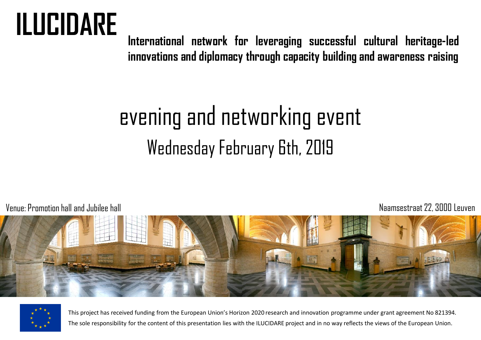# **ILUCIDARE**

**International network for leveraging successful cultural heritage-led innovations and diplomacy through capacity building and awareness raising**

## evening and networking event Wednesday February 6th, 2019

Venue: Promotion hall andJubilee hall Naamsestraat22, 3000 Leuven





This project has received funding from the European Union's Horizon 2020 research and innovation programme under grant agreement No 821394. The sole responsibility for the content of this presentation lies with the ILUCIDARE project and in no way reflects the views of the European Union.